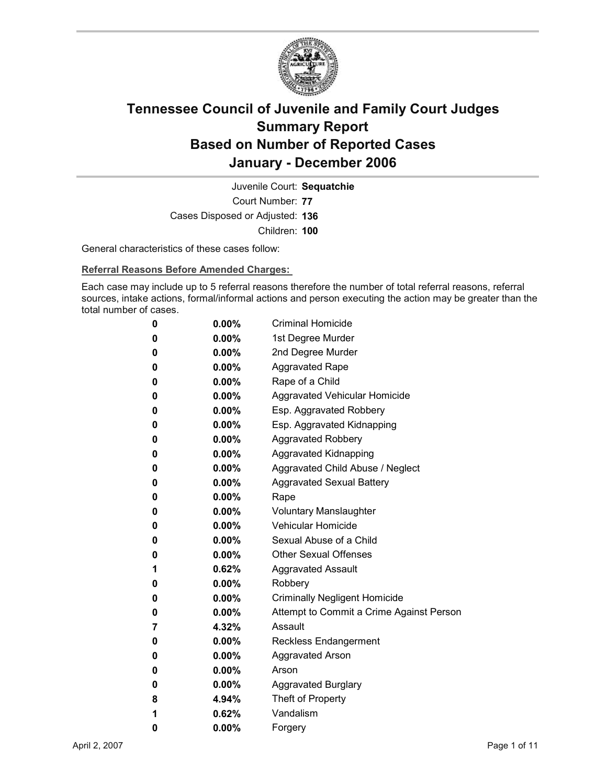

Court Number: **77** Juvenile Court: **Sequatchie** Cases Disposed or Adjusted: **136** Children: **100**

General characteristics of these cases follow:

**Referral Reasons Before Amended Charges:** 

Each case may include up to 5 referral reasons therefore the number of total referral reasons, referral sources, intake actions, formal/informal actions and person executing the action may be greater than the total number of cases.

| 0 | 0.00%    | <b>Criminal Homicide</b>                 |
|---|----------|------------------------------------------|
| 0 | $0.00\%$ | 1st Degree Murder                        |
| 0 | $0.00\%$ | 2nd Degree Murder                        |
| 0 | 0.00%    | <b>Aggravated Rape</b>                   |
| 0 | 0.00%    | Rape of a Child                          |
| 0 | $0.00\%$ | Aggravated Vehicular Homicide            |
| 0 | 0.00%    | Esp. Aggravated Robbery                  |
| 0 | 0.00%    | Esp. Aggravated Kidnapping               |
| 0 | $0.00\%$ | <b>Aggravated Robbery</b>                |
| 0 | 0.00%    | <b>Aggravated Kidnapping</b>             |
| 0 | $0.00\%$ | Aggravated Child Abuse / Neglect         |
| 0 | 0.00%    | <b>Aggravated Sexual Battery</b>         |
| 0 | 0.00%    | Rape                                     |
| 0 | $0.00\%$ | <b>Voluntary Manslaughter</b>            |
| 0 | $0.00\%$ | <b>Vehicular Homicide</b>                |
| 0 | 0.00%    | Sexual Abuse of a Child                  |
| 0 | $0.00\%$ | <b>Other Sexual Offenses</b>             |
| 1 | 0.62%    | <b>Aggravated Assault</b>                |
| 0 | $0.00\%$ | Robbery                                  |
| 0 | 0.00%    | <b>Criminally Negligent Homicide</b>     |
| 0 | $0.00\%$ | Attempt to Commit a Crime Against Person |
| 7 | 4.32%    | Assault                                  |
| 0 | 0.00%    | <b>Reckless Endangerment</b>             |
| 0 | $0.00\%$ | <b>Aggravated Arson</b>                  |
| 0 | $0.00\%$ | Arson                                    |
| 0 | 0.00%    | <b>Aggravated Burglary</b>               |
| 8 | 4.94%    | Theft of Property                        |
| 1 | 0.62%    | Vandalism                                |
| 0 | 0.00%    | Forgery                                  |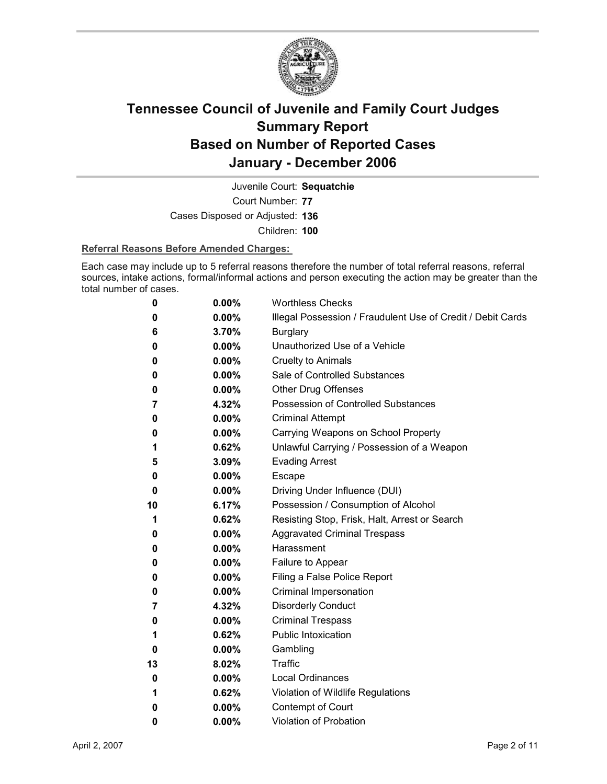

Court Number: **77** Juvenile Court: **Sequatchie** Cases Disposed or Adjusted: **136**

Children: **100**

### **Referral Reasons Before Amended Charges:**

Each case may include up to 5 referral reasons therefore the number of total referral reasons, referral sources, intake actions, formal/informal actions and person executing the action may be greater than the total number of cases.

| 0  | 0.00%    | <b>Worthless Checks</b>                                     |
|----|----------|-------------------------------------------------------------|
| 0  | 0.00%    | Illegal Possession / Fraudulent Use of Credit / Debit Cards |
| 6  | 3.70%    | <b>Burglary</b>                                             |
| 0  | $0.00\%$ | Unauthorized Use of a Vehicle                               |
| 0  | 0.00%    | <b>Cruelty to Animals</b>                                   |
| 0  | $0.00\%$ | Sale of Controlled Substances                               |
| 0  | $0.00\%$ | <b>Other Drug Offenses</b>                                  |
| 7  | 4.32%    | Possession of Controlled Substances                         |
| 0  | 0.00%    | <b>Criminal Attempt</b>                                     |
| 0  | $0.00\%$ | Carrying Weapons on School Property                         |
| 1  | 0.62%    | Unlawful Carrying / Possession of a Weapon                  |
| 5  | 3.09%    | <b>Evading Arrest</b>                                       |
| 0  | $0.00\%$ | Escape                                                      |
| 0  | $0.00\%$ | Driving Under Influence (DUI)                               |
| 10 | 6.17%    | Possession / Consumption of Alcohol                         |
| 1  | 0.62%    | Resisting Stop, Frisk, Halt, Arrest or Search               |
| 0  | $0.00\%$ | <b>Aggravated Criminal Trespass</b>                         |
| 0  | $0.00\%$ | Harassment                                                  |
| 0  | $0.00\%$ | Failure to Appear                                           |
| 0  | $0.00\%$ | Filing a False Police Report                                |
| 0  | 0.00%    | Criminal Impersonation                                      |
| 7  | 4.32%    | <b>Disorderly Conduct</b>                                   |
| 0  | 0.00%    | <b>Criminal Trespass</b>                                    |
| 1  | 0.62%    | <b>Public Intoxication</b>                                  |
| 0  | $0.00\%$ | Gambling                                                    |
| 13 | 8.02%    | <b>Traffic</b>                                              |
| 0  | $0.00\%$ | <b>Local Ordinances</b>                                     |
| 1  | 0.62%    | Violation of Wildlife Regulations                           |
| 0  | 0.00%    | Contempt of Court                                           |
| 0  | $0.00\%$ | <b>Violation of Probation</b>                               |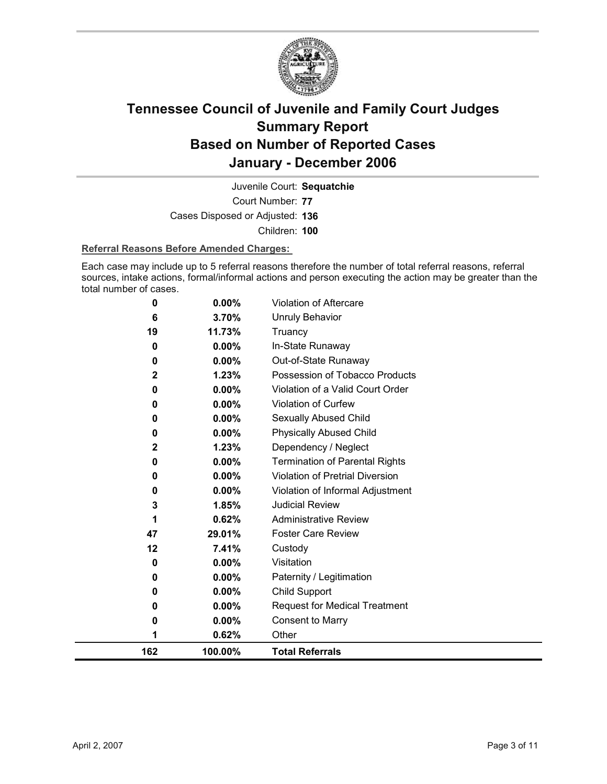

Court Number: **77** Juvenile Court: **Sequatchie** Cases Disposed or Adjusted: **136** Children: **100**

### **Referral Reasons Before Amended Charges:**

Each case may include up to 5 referral reasons therefore the number of total referral reasons, referral sources, intake actions, formal/informal actions and person executing the action may be greater than the total number of cases.

| 162         | 100.00%  | <b>Total Referrals</b>                |
|-------------|----------|---------------------------------------|
| 1           | 0.62%    | Other                                 |
| 0           | 0.00%    | <b>Consent to Marry</b>               |
| 0           | $0.00\%$ | <b>Request for Medical Treatment</b>  |
| 0           | 0.00%    | Child Support                         |
| 0           | 0.00%    | Paternity / Legitimation              |
| 0           | 0.00%    | Visitation                            |
| 12          | 7.41%    | Custody                               |
| 47          | 29.01%   | <b>Foster Care Review</b>             |
| 1           | 0.62%    | <b>Administrative Review</b>          |
| 3           | 1.85%    | <b>Judicial Review</b>                |
| 0           | 0.00%    | Violation of Informal Adjustment      |
| 0           | 0.00%    | Violation of Pretrial Diversion       |
| 0           | 0.00%    | <b>Termination of Parental Rights</b> |
| $\mathbf 2$ | 1.23%    | Dependency / Neglect                  |
| 0           | 0.00%    | <b>Physically Abused Child</b>        |
| 0           | 0.00%    | Sexually Abused Child                 |
| 0           | 0.00%    | <b>Violation of Curfew</b>            |
| 0           | 0.00%    | Violation of a Valid Court Order      |
| 2           | 1.23%    | Possession of Tobacco Products        |
| 0           | 0.00%    | Out-of-State Runaway                  |
| 0           | 0.00%    | In-State Runaway                      |
| 19          | 11.73%   | Truancy                               |
| 6           | 3.70%    | <b>Unruly Behavior</b>                |
| 0           | 0.00%    | Violation of Aftercare                |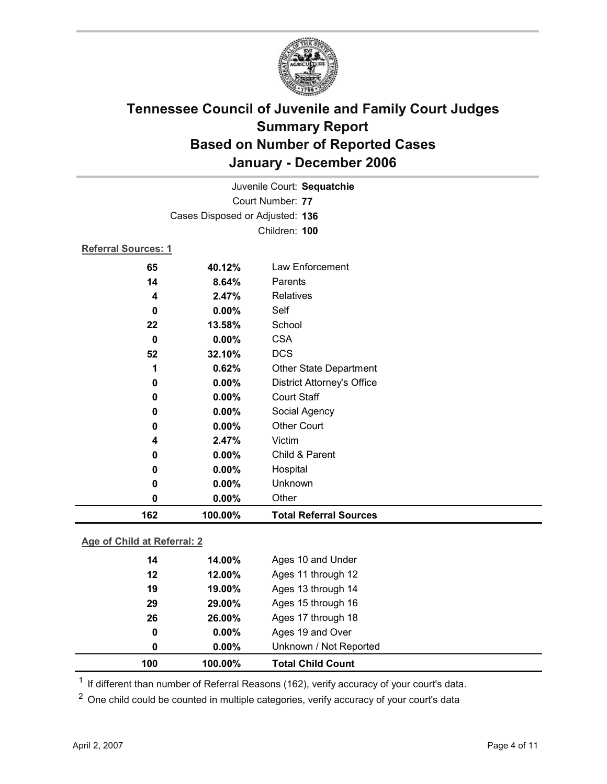

|                            | Juvenile Court: Sequatchie      |                                   |  |  |  |
|----------------------------|---------------------------------|-----------------------------------|--|--|--|
|                            | Court Number: 77                |                                   |  |  |  |
|                            | Cases Disposed or Adjusted: 136 |                                   |  |  |  |
|                            | Children: 100                   |                                   |  |  |  |
| <b>Referral Sources: 1</b> |                                 |                                   |  |  |  |
| 65                         | 40.12%                          | Law Enforcement                   |  |  |  |
| 14                         | 8.64%                           | Parents                           |  |  |  |
| 4                          | 2.47%                           | <b>Relatives</b>                  |  |  |  |
| 0                          | $0.00\%$                        | Self                              |  |  |  |
| 22                         | 13.58%                          | School                            |  |  |  |
| $\bf{0}$                   | 0.00%                           | <b>CSA</b>                        |  |  |  |
| 52                         | 32.10%                          | <b>DCS</b>                        |  |  |  |
| 1                          | 0.62%                           | Other State Department            |  |  |  |
| 0                          | 0.00%                           | <b>District Attorney's Office</b> |  |  |  |
| 0                          | 0.00%                           | <b>Court Staff</b>                |  |  |  |
| 0                          | 0.00%                           | Social Agency                     |  |  |  |
| 0                          | 0.00%                           | <b>Other Court</b>                |  |  |  |
| 4                          | 2.47%                           | Victim                            |  |  |  |
| 0                          | $0.00\%$                        | Child & Parent                    |  |  |  |
| 0                          | 0.00%                           | Hospital                          |  |  |  |
| 0                          | 0.00%                           | Unknown                           |  |  |  |
| $\mathbf 0$                | 0.00%                           | Other                             |  |  |  |
| 162                        | 100.00%                         | <b>Total Referral Sources</b>     |  |  |  |

### **Age of Child at Referral: 2**

| 100 | 100.00%  | <b>Total Child Count</b> |  |
|-----|----------|--------------------------|--|
| 0   | $0.00\%$ | Unknown / Not Reported   |  |
| 0   | $0.00\%$ | Ages 19 and Over         |  |
| 26  | 26.00%   | Ages 17 through 18       |  |
| 29  | 29.00%   | Ages 15 through 16       |  |
| 19  | 19.00%   | Ages 13 through 14       |  |
| 12  | 12.00%   | Ages 11 through 12       |  |
| 14  | 14.00%   | Ages 10 and Under        |  |
|     |          |                          |  |

<sup>1</sup> If different than number of Referral Reasons (162), verify accuracy of your court's data.

<sup>2</sup> One child could be counted in multiple categories, verify accuracy of your court's data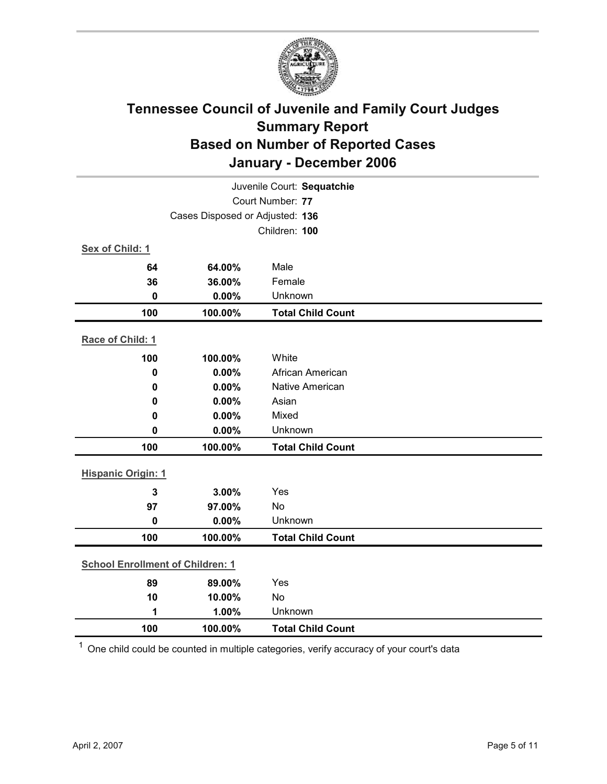

|                                         | Juvenile Court: Sequatchie      |                          |  |  |
|-----------------------------------------|---------------------------------|--------------------------|--|--|
|                                         | Court Number: 77                |                          |  |  |
|                                         | Cases Disposed or Adjusted: 136 |                          |  |  |
|                                         |                                 | Children: 100            |  |  |
| Sex of Child: 1                         |                                 |                          |  |  |
| 64                                      | 64.00%                          | Male                     |  |  |
| 36                                      | 36.00%                          | Female                   |  |  |
| $\bf{0}$                                | 0.00%                           | Unknown                  |  |  |
| 100                                     | 100.00%                         | <b>Total Child Count</b> |  |  |
| Race of Child: 1                        |                                 |                          |  |  |
| 100                                     | 100.00%                         | White                    |  |  |
| $\mathbf 0$                             | 0.00%                           | African American         |  |  |
| 0                                       | 0.00%                           | Native American          |  |  |
| 0                                       | 0.00%                           | Asian                    |  |  |
| 0                                       | 0.00%                           | Mixed                    |  |  |
| $\mathbf 0$                             | 0.00%                           | Unknown                  |  |  |
| 100                                     | 100.00%                         | <b>Total Child Count</b> |  |  |
| <b>Hispanic Origin: 1</b>               |                                 |                          |  |  |
| $\overline{\mathbf{3}}$                 | 3.00%                           | Yes                      |  |  |
| 97                                      | 97.00%                          | <b>No</b>                |  |  |
| $\mathbf 0$                             | 0.00%                           | Unknown                  |  |  |
| 100                                     | 100.00%                         | <b>Total Child Count</b> |  |  |
| <b>School Enrollment of Children: 1</b> |                                 |                          |  |  |
| 89                                      | 89.00%                          | Yes                      |  |  |
| 10                                      | 10.00%                          | No                       |  |  |
| 1                                       | 1.00%                           | Unknown                  |  |  |
| 100                                     | 100.00%                         | <b>Total Child Count</b> |  |  |
|                                         |                                 |                          |  |  |

 $1$  One child could be counted in multiple categories, verify accuracy of your court's data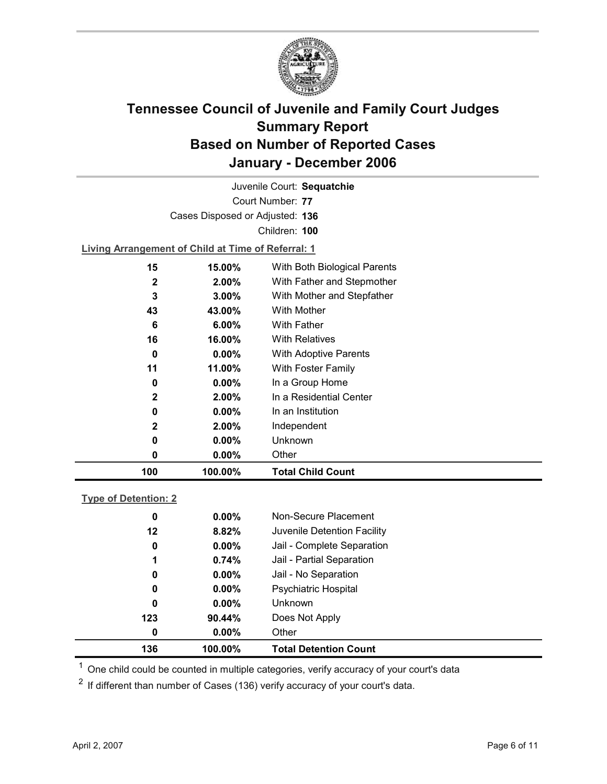

Court Number: **77** Juvenile Court: **Sequatchie** Cases Disposed or Adjusted: **136** Children: **100**

**Living Arrangement of Child at Time of Referral: 1**

| 100          | 100.00%  | <b>Total Child Count</b>     |
|--------------|----------|------------------------------|
| 0            | $0.00\%$ | Other                        |
| 0            | $0.00\%$ | Unknown                      |
| $\mathbf{2}$ | 2.00%    | Independent                  |
| 0            | $0.00\%$ | In an Institution            |
| $\mathbf{2}$ | $2.00\%$ | In a Residential Center      |
| 0            | $0.00\%$ | In a Group Home              |
| 11           | 11.00%   | With Foster Family           |
| 0            | $0.00\%$ | With Adoptive Parents        |
| 16           | 16.00%   | <b>With Relatives</b>        |
| 6            | $6.00\%$ | <b>With Father</b>           |
| 43           | 43.00%   | With Mother                  |
| 3            | $3.00\%$ | With Mother and Stepfather   |
| 2            | $2.00\%$ | With Father and Stepmother   |
| 15           | 15.00%   | With Both Biological Parents |
|              |          |                              |

### **Type of Detention: 2**

| 136 | 100.00%  | <b>Total Detention Count</b> |  |
|-----|----------|------------------------------|--|
| 0   | $0.00\%$ | Other                        |  |
| 123 | 90.44%   | Does Not Apply               |  |
| 0   | $0.00\%$ | Unknown                      |  |
| 0   | $0.00\%$ | <b>Psychiatric Hospital</b>  |  |
| 0   | $0.00\%$ | Jail - No Separation         |  |
| 1   | 0.74%    | Jail - Partial Separation    |  |
| 0   | $0.00\%$ | Jail - Complete Separation   |  |
| 12  | 8.82%    | Juvenile Detention Facility  |  |
| 0   | $0.00\%$ | Non-Secure Placement         |  |
|     |          |                              |  |

 $<sup>1</sup>$  One child could be counted in multiple categories, verify accuracy of your court's data</sup>

 $2$  If different than number of Cases (136) verify accuracy of your court's data.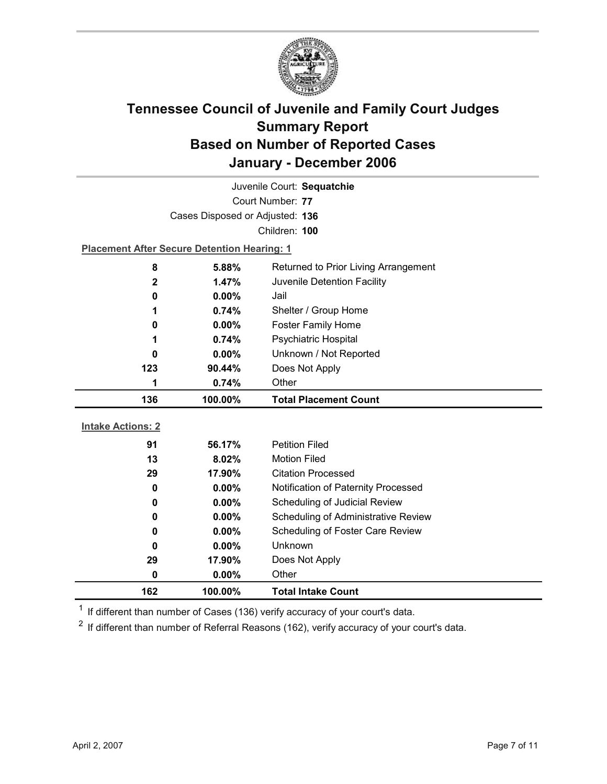

| Juvenile Court: Sequatchie |                                                    |                                      |  |  |
|----------------------------|----------------------------------------------------|--------------------------------------|--|--|
|                            | Court Number: 77                                   |                                      |  |  |
|                            | Cases Disposed or Adjusted: 136                    |                                      |  |  |
|                            |                                                    | Children: 100                        |  |  |
|                            | <b>Placement After Secure Detention Hearing: 1</b> |                                      |  |  |
| 8                          | 5.88%                                              | Returned to Prior Living Arrangement |  |  |
| 2                          | 1.47%                                              | Juvenile Detention Facility          |  |  |
| 0                          | $0.00\%$                                           | Jail                                 |  |  |
| 1                          | 0.74%                                              | Shelter / Group Home                 |  |  |
| 0                          | 0.00%                                              | <b>Foster Family Home</b>            |  |  |
| 1                          | 0.74%                                              | Psychiatric Hospital                 |  |  |
| 0                          | $0.00\%$                                           | Unknown / Not Reported               |  |  |
| 123                        | 90.44%                                             | Does Not Apply                       |  |  |
| 1                          | 0.74%                                              | Other                                |  |  |
|                            |                                                    |                                      |  |  |
| 136                        | 100.00%                                            | <b>Total Placement Count</b>         |  |  |
|                            |                                                    |                                      |  |  |
| <b>Intake Actions: 2</b>   |                                                    |                                      |  |  |
| 91                         | 56.17%                                             | <b>Petition Filed</b>                |  |  |
| 13                         | 8.02%                                              | <b>Motion Filed</b>                  |  |  |
| 29                         | 17.90%                                             | <b>Citation Processed</b>            |  |  |
| 0                          | $0.00\%$                                           | Notification of Paternity Processed  |  |  |
| 0                          | 0.00%                                              | Scheduling of Judicial Review        |  |  |
| 0                          | 0.00%                                              | Scheduling of Administrative Review  |  |  |
| 0                          | $0.00\%$                                           | Scheduling of Foster Care Review     |  |  |
| 0                          | 0.00%                                              | Unknown                              |  |  |
| 29                         | 17.90%                                             | Does Not Apply                       |  |  |
| 0<br>162                   | 0.00%<br>100.00%                                   | Other<br><b>Total Intake Count</b>   |  |  |

 $1$  If different than number of Cases (136) verify accuracy of your court's data.

 $2$  If different than number of Referral Reasons (162), verify accuracy of your court's data.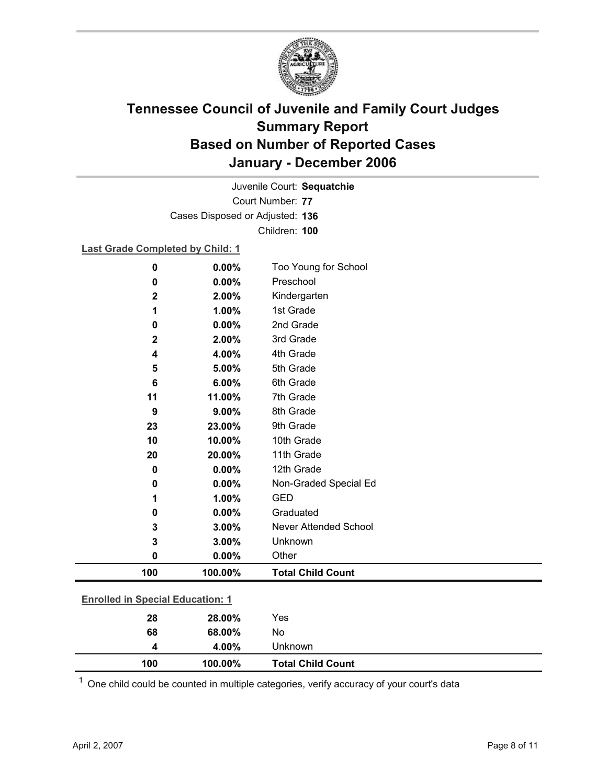

Court Number: **77** Juvenile Court: **Sequatchie** Cases Disposed or Adjusted: **136** Children: **100**

### **Last Grade Completed by Child: 1**

| 0           | 0.00%                                   | Too Young for School         |  |
|-------------|-----------------------------------------|------------------------------|--|
| 0           | 0.00%                                   | Preschool                    |  |
| $\mathbf 2$ | 2.00%                                   | Kindergarten                 |  |
| 1           | 1.00%                                   | 1st Grade                    |  |
| 0           | 0.00%                                   | 2nd Grade                    |  |
| 2           | 2.00%                                   | 3rd Grade                    |  |
| 4           | 4.00%                                   | 4th Grade                    |  |
| 5           | 5.00%                                   | 5th Grade                    |  |
| 6           | 6.00%                                   | 6th Grade                    |  |
| 11          | 11.00%                                  | 7th Grade                    |  |
| 9           | 9.00%                                   | 8th Grade                    |  |
| 23          | 23.00%                                  | 9th Grade                    |  |
| 10          | 10.00%                                  | 10th Grade                   |  |
| 20          | 20.00%                                  | 11th Grade                   |  |
| $\mathbf 0$ | 0.00%                                   | 12th Grade                   |  |
| 0           | 0.00%                                   | Non-Graded Special Ed        |  |
| 1           | 1.00%                                   | <b>GED</b>                   |  |
| 0           | 0.00%                                   | Graduated                    |  |
| 3           | 3.00%                                   | <b>Never Attended School</b> |  |
| 3           | 3.00%                                   | Unknown                      |  |
| 0           | 0.00%                                   | Other                        |  |
| 100         | 100.00%                                 | <b>Total Child Count</b>     |  |
|             | <b>Enrolled in Special Education: 1</b> |                              |  |
| 28          | 28.00%                                  | Yes                          |  |

| 100 | 100.00% | <b>Total Child Count</b> |  |
|-----|---------|--------------------------|--|
|     | 4.00%   | <b>Unknown</b>           |  |
| 68  | 68.00%  | No                       |  |

 $1$  One child could be counted in multiple categories, verify accuracy of your court's data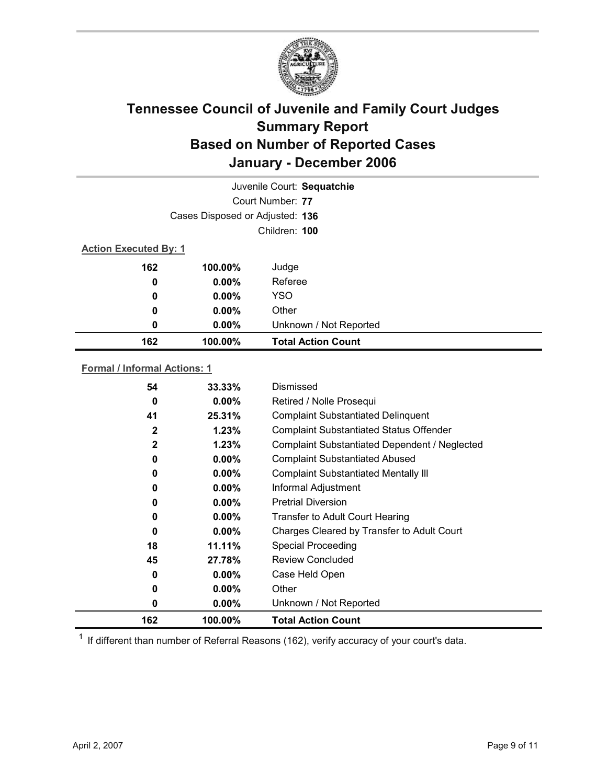

|                                 |          | Juvenile Court: Sequatchie |
|---------------------------------|----------|----------------------------|
|                                 |          | Court Number: 77           |
| Cases Disposed or Adjusted: 136 |          |                            |
|                                 |          | Children: 100              |
| <b>Action Executed By: 1</b>    |          |                            |
| 162                             | 100.00%  | Judge                      |
| 0                               | $0.00\%$ | Referee                    |
| $\boldsymbol{0}$                | $0.00\%$ | <b>YSO</b>                 |
| 0                               | $0.00\%$ | Other                      |
| 0                               | $0.00\%$ | Unknown / Not Reported     |
| 162                             | 100.00%  | <b>Total Action Count</b>  |

### **Formal / Informal Actions: 1**

| 0<br>0<br>0  | $0.00\%$<br>$0.00\%$<br>$0.00\%$ | Case Held Open<br>Other<br>Unknown / Not Reported |
|--------------|----------------------------------|---------------------------------------------------|
|              |                                  |                                                   |
|              |                                  |                                                   |
|              |                                  |                                                   |
|              | 27.78%                           | <b>Review Concluded</b>                           |
| 18           | 11.11%                           | <b>Special Proceeding</b>                         |
| $\bf{0}$     | $0.00\%$                         | Charges Cleared by Transfer to Adult Court        |
| 0            | $0.00\%$                         | Transfer to Adult Court Hearing                   |
| 0            | $0.00\%$                         | <b>Pretrial Diversion</b>                         |
| 0            | $0.00\%$                         | Informal Adjustment                               |
| 0            | $0.00\%$                         | <b>Complaint Substantiated Mentally III</b>       |
| 0            | $0.00\%$                         | <b>Complaint Substantiated Abused</b>             |
| $\mathbf{2}$ | 1.23%                            | Complaint Substantiated Dependent / Neglected     |
| 2            | 1.23%                            | <b>Complaint Substantiated Status Offender</b>    |
| 41           | 25.31%                           | <b>Complaint Substantiated Delinquent</b>         |
| 0            | $0.00\%$                         | Retired / Nolle Prosequi                          |
| 54           | $33.33\%$                        | Dismissed                                         |
|              | 45                               |                                                   |

 $1$  If different than number of Referral Reasons (162), verify accuracy of your court's data.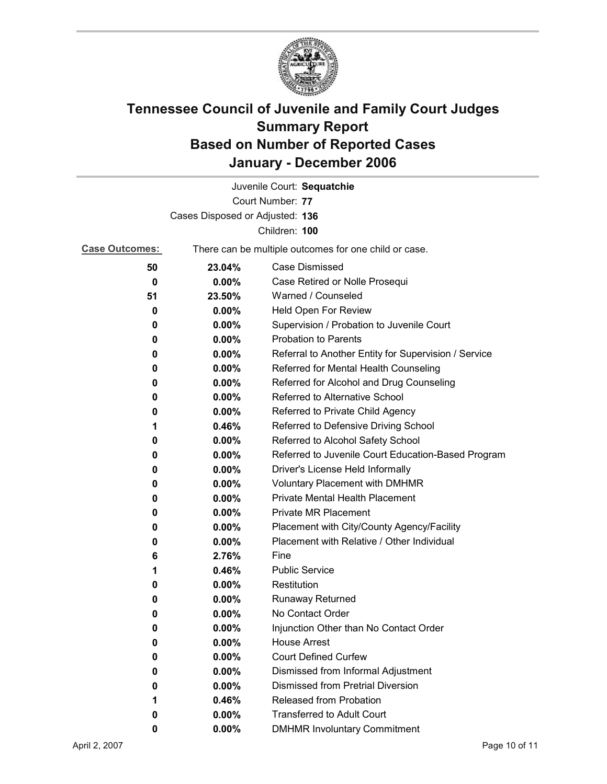

|                                 |                                                       | Juvenile Court: Sequatchie                           |  |
|---------------------------------|-------------------------------------------------------|------------------------------------------------------|--|
|                                 |                                                       | Court Number: 77                                     |  |
| Cases Disposed or Adjusted: 136 |                                                       |                                                      |  |
|                                 |                                                       | Children: 100                                        |  |
| <b>Case Outcomes:</b>           | There can be multiple outcomes for one child or case. |                                                      |  |
| 50                              | 23.04%                                                | <b>Case Dismissed</b>                                |  |
| 0                               | $0.00\%$                                              | Case Retired or Nolle Prosequi                       |  |
| 51                              | 23.50%                                                | Warned / Counseled                                   |  |
| 0                               | $0.00\%$                                              | Held Open For Review                                 |  |
| 0                               | 0.00%                                                 | Supervision / Probation to Juvenile Court            |  |
| 0                               | $0.00\%$                                              | <b>Probation to Parents</b>                          |  |
| 0                               | $0.00\%$                                              | Referral to Another Entity for Supervision / Service |  |
| 0                               | $0.00\%$                                              | Referred for Mental Health Counseling                |  |
| 0                               | $0.00\%$                                              | Referred for Alcohol and Drug Counseling             |  |
| 0                               | 0.00%                                                 | Referred to Alternative School                       |  |
| 0                               | $0.00\%$                                              | Referred to Private Child Agency                     |  |
| 1                               | 0.46%                                                 | Referred to Defensive Driving School                 |  |
| 0                               | 0.00%                                                 | Referred to Alcohol Safety School                    |  |
| 0                               | 0.00%                                                 | Referred to Juvenile Court Education-Based Program   |  |
| 0                               | $0.00\%$                                              | Driver's License Held Informally                     |  |
| 0                               | $0.00\%$                                              | <b>Voluntary Placement with DMHMR</b>                |  |
| 0                               | 0.00%                                                 | <b>Private Mental Health Placement</b>               |  |
| 0                               | $0.00\%$                                              | <b>Private MR Placement</b>                          |  |
| 0                               | 0.00%                                                 | Placement with City/County Agency/Facility           |  |
| 0                               | $0.00\%$                                              | Placement with Relative / Other Individual           |  |
| 6                               | 2.76%                                                 | Fine                                                 |  |
| 1                               | 0.46%                                                 | <b>Public Service</b>                                |  |
| 0                               | $0.00\%$                                              | Restitution                                          |  |
| 0                               | $0.00\%$                                              | <b>Runaway Returned</b>                              |  |
| 0                               | 0.00%                                                 | No Contact Order                                     |  |
| 0                               | 0.00%                                                 | Injunction Other than No Contact Order               |  |
| 0                               | 0.00%                                                 | <b>House Arrest</b>                                  |  |
| 0                               | $0.00\%$                                              | <b>Court Defined Curfew</b>                          |  |
| 0                               | 0.00%                                                 | Dismissed from Informal Adjustment                   |  |
| 0                               | $0.00\%$                                              | <b>Dismissed from Pretrial Diversion</b>             |  |
| 1                               | 0.46%                                                 | Released from Probation                              |  |
| 0                               | $0.00\%$                                              | <b>Transferred to Adult Court</b>                    |  |
| 0                               | $0.00\%$                                              | <b>DMHMR Involuntary Commitment</b>                  |  |